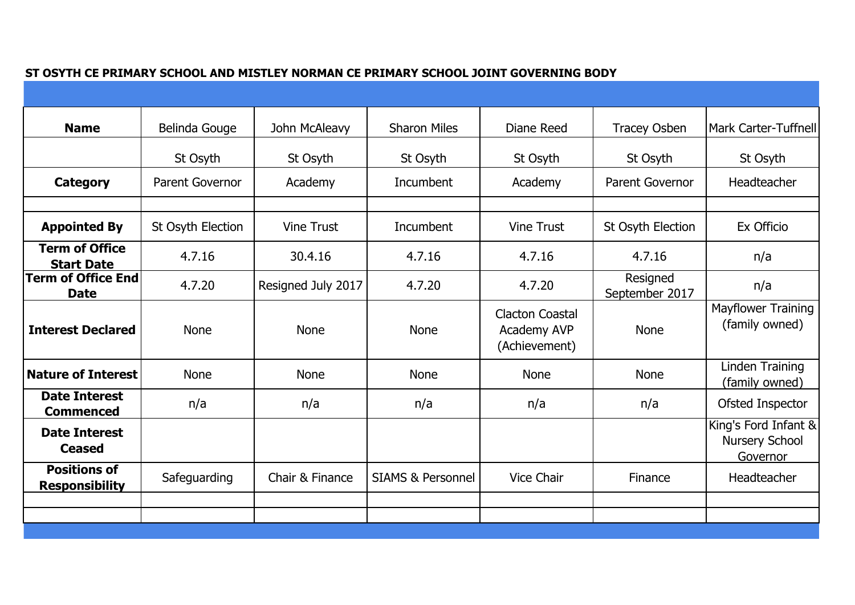|  | ST OSYTH CE PRIMARY SCHOOL AND MISTLEY NORMAN CE PRIMARY SCHOOL JOINT GOVERNING BODY |  |
|--|--------------------------------------------------------------------------------------|--|
|--|--------------------------------------------------------------------------------------|--|

| <b>Name</b>                                  | Belinda Gouge          | John McAleavy      | <b>Sharon Miles</b>          | Diane Reed                                             | <b>Tracey Osben</b>        | <b>Mark Carter-Tuffnell</b>                               |
|----------------------------------------------|------------------------|--------------------|------------------------------|--------------------------------------------------------|----------------------------|-----------------------------------------------------------|
|                                              | St Osyth               | St Osyth           | St Osyth                     | St Osyth                                               | St Osyth                   | St Osyth                                                  |
| Category                                     | <b>Parent Governor</b> | Academy            | Incumbent                    | Academy                                                | <b>Parent Governor</b>     | Headteacher                                               |
|                                              |                        |                    |                              |                                                        |                            |                                                           |
| <b>Appointed By</b>                          | St Osyth Election      | <b>Vine Trust</b>  | Incumbent                    | <b>Vine Trust</b>                                      | St Osyth Election          | Ex Officio                                                |
| <b>Term of Office</b><br><b>Start Date</b>   | 4.7.16                 | 30.4.16            | 4.7.16                       | 4.7.16                                                 | 4.7.16                     | n/a                                                       |
| <b>Term of Office End</b><br><b>Date</b>     | 4.7.20                 | Resigned July 2017 | 4.7.20                       | 4.7.20                                                 | Resigned<br>September 2017 | n/a                                                       |
| <b>Interest Declared</b>                     | <b>None</b>            | <b>None</b>        | <b>None</b>                  | <b>Clacton Coastal</b><br>Academy AVP<br>(Achievement) | <b>None</b>                | <b>Mayflower Training</b><br>(family owned)               |
| <b>Nature of Interest</b>                    | <b>None</b>            | <b>None</b>        | <b>None</b>                  | <b>None</b>                                            | <b>None</b>                | Linden Training<br>(family owned)                         |
| <b>Date Interest</b><br><b>Commenced</b>     | n/a                    | n/a                | n/a                          | n/a                                                    | n/a                        | Ofsted Inspector                                          |
| <b>Date Interest</b><br><b>Ceased</b>        |                        |                    |                              |                                                        |                            | King's Ford Infant &<br><b>Nursery School</b><br>Governor |
| <b>Positions of</b><br><b>Responsibility</b> | Safeguarding           | Chair & Finance    | <b>SIAMS &amp; Personnel</b> | <b>Vice Chair</b>                                      | Finance                    | Headteacher                                               |
|                                              |                        |                    |                              |                                                        |                            |                                                           |
|                                              |                        |                    |                              |                                                        |                            |                                                           |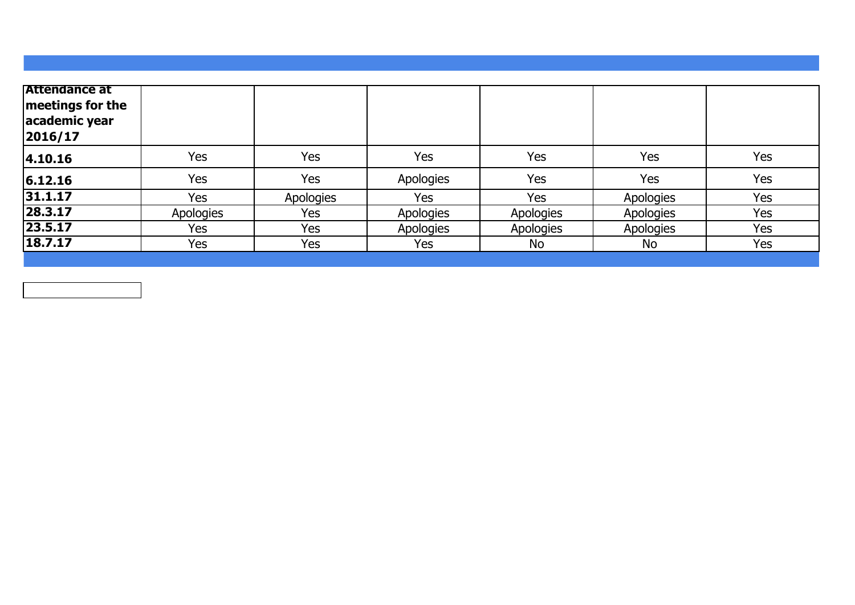| <b>Attendance at</b><br>meetings for the<br>academic year<br> 2016/17 |           |           |           |                  |           |     |
|-----------------------------------------------------------------------|-----------|-----------|-----------|------------------|-----------|-----|
| 4.10.16                                                               | Yes       | Yes       | Yes       | Yes              | Yes       | Yes |
| 6.12.16                                                               | Yes       | Yes       | Apologies | Yes              | Yes       | Yes |
| 31.1.17                                                               | Yes       | Apologies | Yes       | Yes              | Apologies | Yes |
| 28.3.17                                                               | Apologies | Yes       | Apologies | Apologies        | Apologies | Yes |
| 23.5.17                                                               | Yes       | Yes       | Apologies | <b>Apologies</b> | Apologies | Yes |
| 18.7.17                                                               | Yes       | Yes       | Yes       | No               | No        | Yes |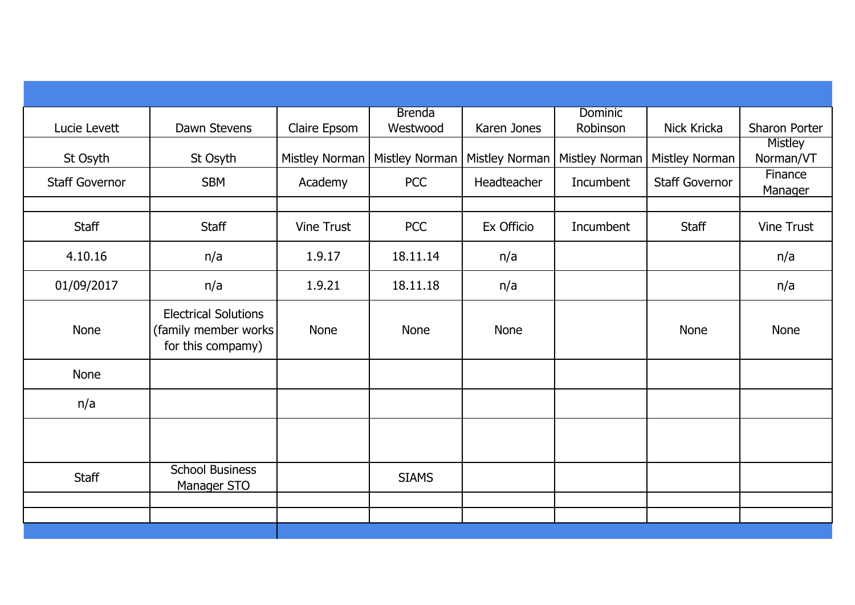| Lucie Levett          | Dawn Stevens                                                              | Claire Epsom      | <b>Brenda</b><br>Westwood       | Karen Jones    | <b>Dominic</b><br>Robinson | Nick Kricka           | Sharon Porter             |
|-----------------------|---------------------------------------------------------------------------|-------------------|---------------------------------|----------------|----------------------------|-----------------------|---------------------------|
| St Osyth              | St Osyth                                                                  |                   | Mistley Norman   Mistley Norman | Mistley Norman | <b>Mistley Norman</b>      | Mistley Norman        | Mistley<br>Norman/VT      |
| <b>Staff Governor</b> | <b>SBM</b>                                                                | Academy           | <b>PCC</b>                      | Headteacher    | Incumbent                  | <b>Staff Governor</b> | Finance<br><b>Manager</b> |
| Staff                 | <b>Staff</b>                                                              | <b>Vine Trust</b> | <b>PCC</b>                      | Ex Officio     | Incumbent                  | <b>Staff</b>          | <b>Vine Trust</b>         |
| 4.10.16               | n/a                                                                       | 1.9.17            | 18.11.14                        | n/a            |                            |                       | n/a                       |
| 01/09/2017            | n/a                                                                       | 1.9.21            | 18.11.18                        | n/a            |                            |                       | n/a                       |
| <b>None</b>           | <b>Electrical Solutions</b><br>(family member works)<br>for this compamy) | <b>None</b>       | None                            | <b>None</b>    |                            | <b>None</b>           | <b>None</b>               |
| <b>None</b>           |                                                                           |                   |                                 |                |                            |                       |                           |
| n/a                   |                                                                           |                   |                                 |                |                            |                       |                           |
|                       |                                                                           |                   |                                 |                |                            |                       |                           |
| <b>Staff</b>          | <b>School Business</b><br>Manager STO                                     |                   | <b>SIAMS</b>                    |                |                            |                       |                           |
|                       |                                                                           |                   |                                 |                |                            |                       |                           |
|                       |                                                                           |                   |                                 |                |                            |                       |                           |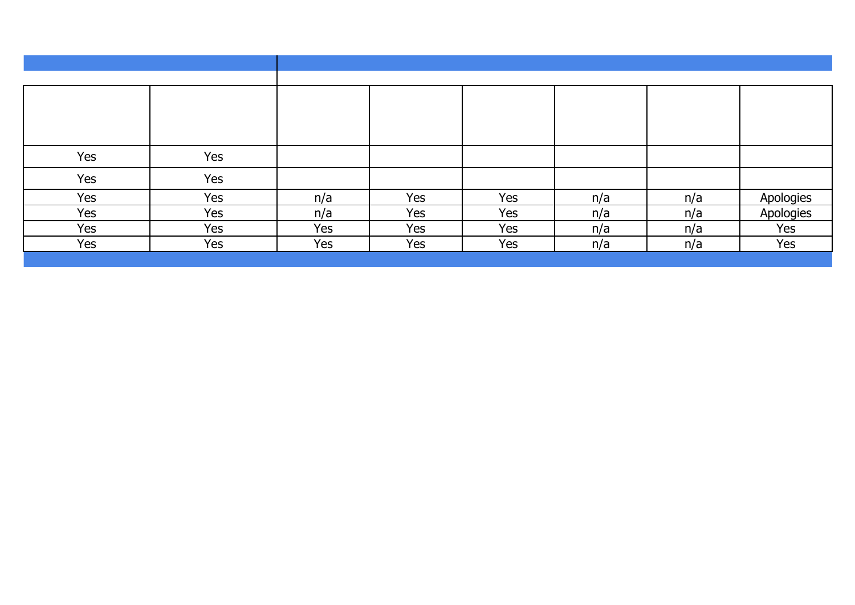| Yes | Yes |     |     |     |     |     |           |
|-----|-----|-----|-----|-----|-----|-----|-----------|
| Yes | Yes |     |     |     |     |     |           |
| Yes | Yes | n/a | Yes | Yes | n/a | n/a | Apologies |
| Yes | Yes | n/a | Yes | Yes | n/a | n/a | Apologies |
| Yes | Yes | Yes | Yes | Yes | n/a | n/a | Yes       |
| Yes | Yes | Yes | Yes | Yes | n/a | n/a | Yes       |
|     |     |     |     |     |     |     |           |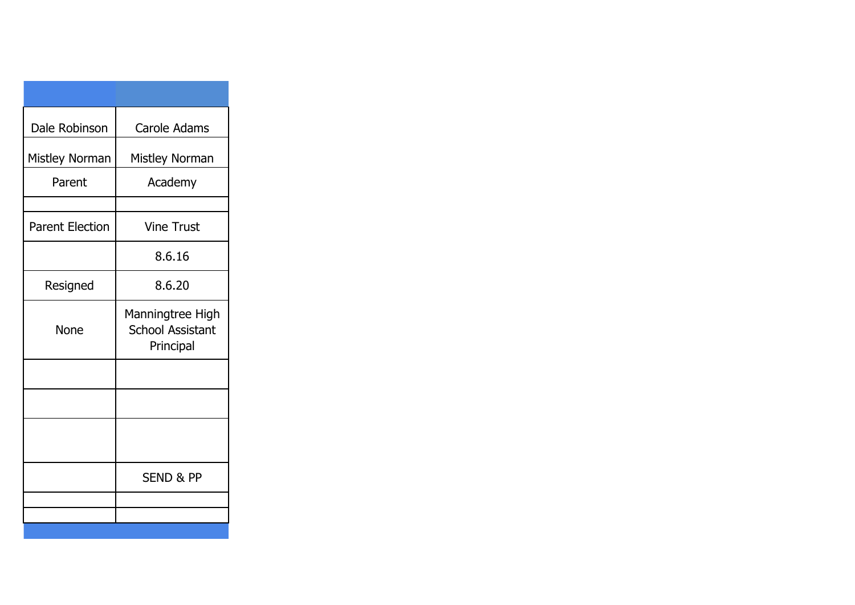| Dale Robinson          | Carole Adams                                             |
|------------------------|----------------------------------------------------------|
| Mistley Norman         | Mistley Norman                                           |
| Parent                 | Academy                                                  |
|                        |                                                          |
| <b>Parent Election</b> | <b>Vine Trust</b>                                        |
|                        | 8.6.16                                                   |
| Resigned               | 8.6.20                                                   |
| None                   | Manningtree High<br><b>School Assistant</b><br>Principal |
|                        |                                                          |
|                        |                                                          |
|                        |                                                          |
|                        | <b>SEND &amp; PP</b>                                     |
|                        |                                                          |
|                        |                                                          |
|                        |                                                          |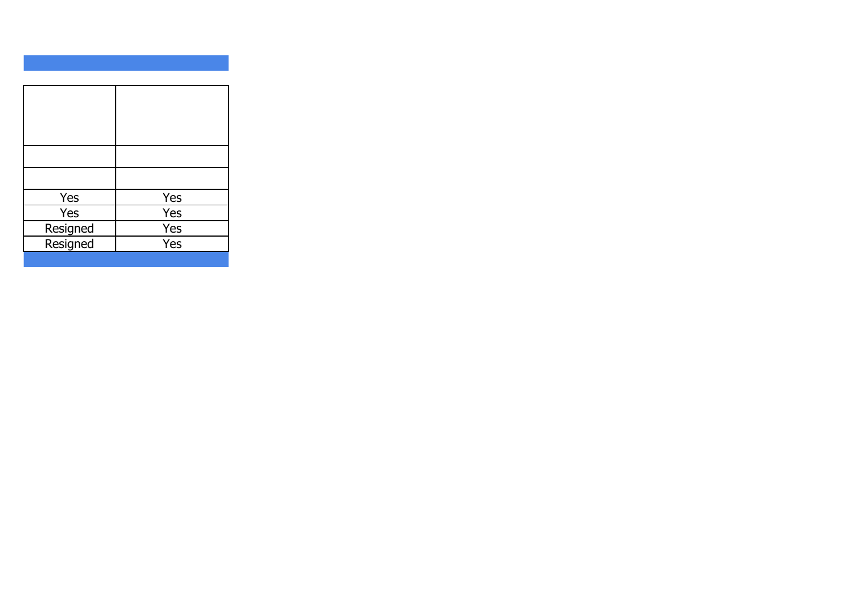| Yes      | <b>Yes</b> |
|----------|------------|
| Yes      | Yes        |
| Resigned | Yes        |
| Resigned | Yes        |
|          |            |